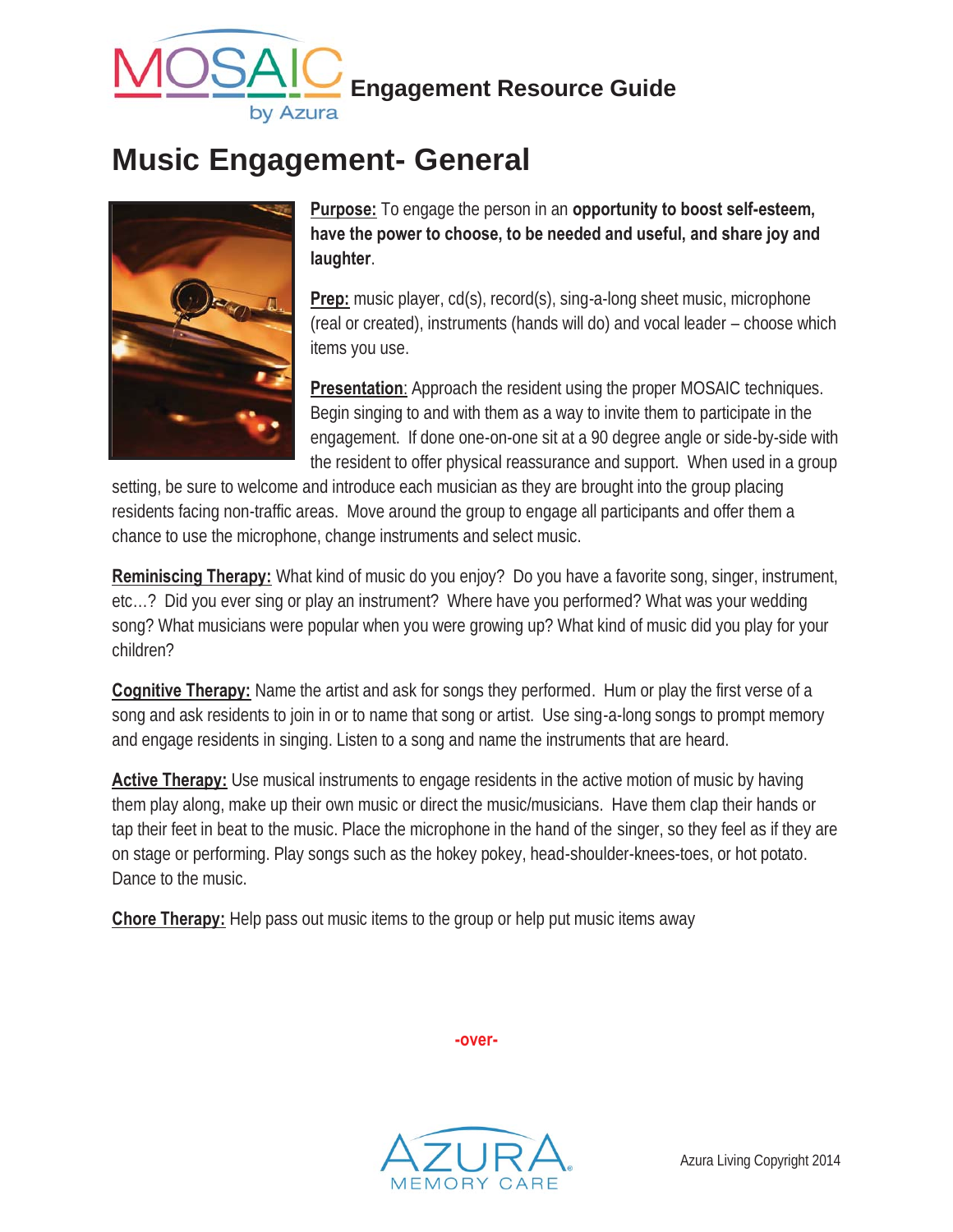

## **Music Engagement- General**



**Purpose:** To engage the person in an **opportunity to boost self-esteem, have the power to choose, to be needed and useful, and share joy and laughter**.

**Prep:** music player, cd(s), record(s), sing-a-long sheet music, microphone (real or created), instruments (hands will do) and vocal leader – choose which items you use.

**Presentation**: Approach the resident using the proper MOSAIC techniques. Begin singing to and with them as a way to invite them to participate in the engagement. If done one-on-one sit at a 90 degree angle or side-by-side with the resident to offer physical reassurance and support. When used in a group

setting, be sure to welcome and introduce each musician as they are brought into the group placing residents facing non-traffic areas. Move around the group to engage all participants and offer them a chance to use the microphone, change instruments and select music.

**Reminiscing Therapy:** What kind of music do you enjoy? Do you have a favorite song, singer, instrument, etc…? Did you ever sing or play an instrument? Where have you performed? What was your wedding song? What musicians were popular when you were growing up? What kind of music did you play for your children?

**Cognitive Therapy:** Name the artist and ask for songs they performed. Hum or play the first verse of a song and ask residents to join in or to name that song or artist. Use sing-a-long songs to prompt memory and engage residents in singing. Listen to a song and name the instruments that are heard.

**Active Therapy:** Use musical instruments to engage residents in the active motion of music by having them play along, make up their own music or direct the music/musicians. Have them clap their hands or tap their feet in beat to the music. Place the microphone in the hand of the singer, so they feel as if they are on stage or performing. Play songs such as the hokey pokey, head-shoulder-knees-toes, or hot potato. Dance to the music.

**Chore Therapy:** Help pass out music items to the group or help put music items away



**-over-**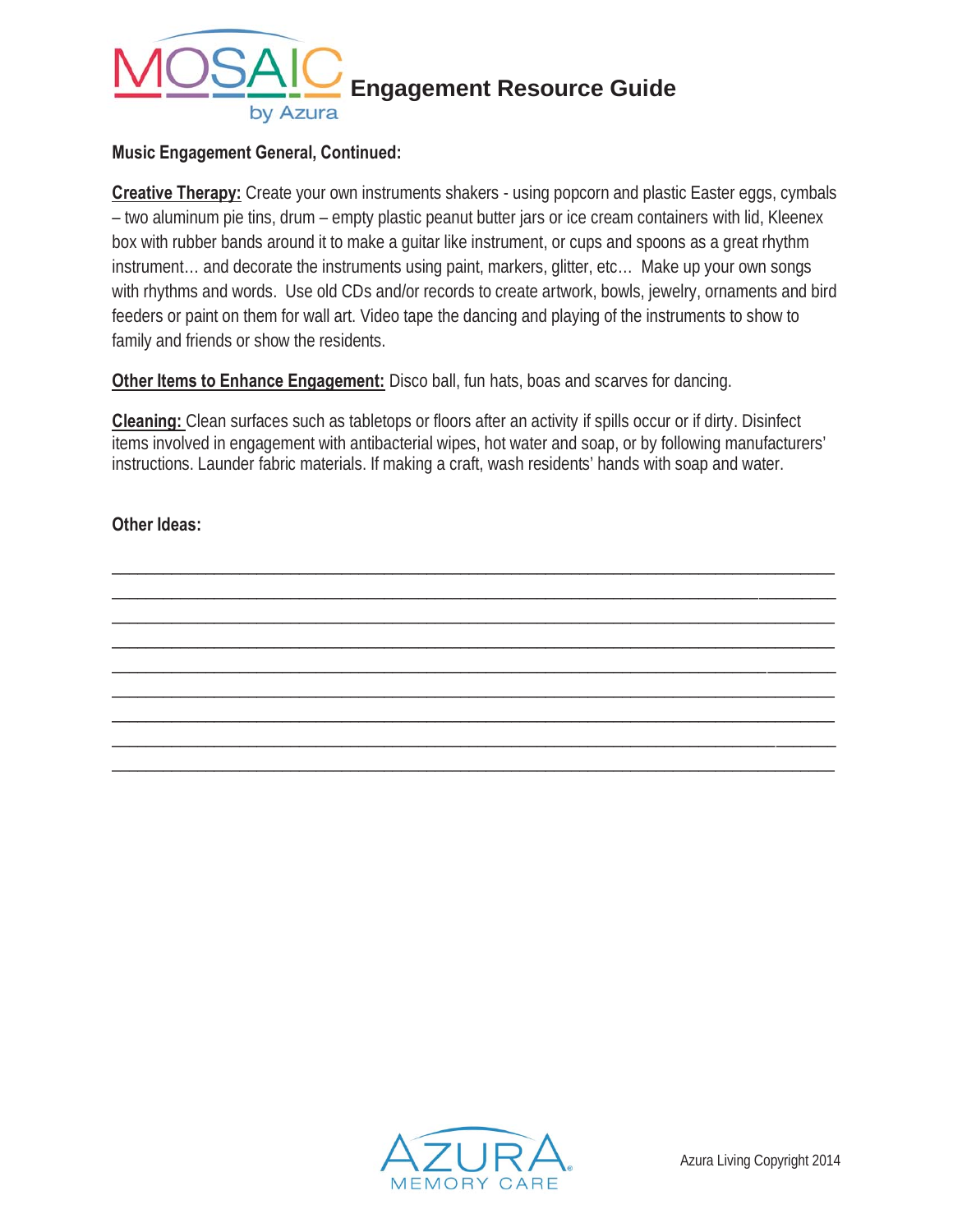

## **Music Engagement General, Continued:**

**Creative Therapy:** Create your own instruments shakers - using popcorn and plastic Easter eggs, cymbals – two aluminum pie tins, drum – empty plastic peanut butter jars or ice cream containers with lid, Kleenex box with rubber bands around it to make a guitar like instrument, or cups and spoons as a great rhythm instrument… and decorate the instruments using paint, markers, glitter, etc… Make up your own songs with rhythms and words. Use old CDs and/or records to create artwork, bowls, jewelry, ornaments and bird feeders or paint on them for wall art. Video tape the dancing and playing of the instruments to show to family and friends or show the residents.

**Other Items to Enhance Engagement:** Disco ball, fun hats, boas and scarves for dancing.

**Cleaning:** Clean surfaces such as tabletops or floors after an activity if spills occur or if dirty. Disinfect items involved in engagement with antibacterial wipes, hot water and soap, or by following manufacturers' instructions. Launder fabric materials. If making a craft, wash residents' hands with soap and water.

\_\_\_\_\_\_\_\_\_\_\_\_\_\_\_\_\_\_\_\_\_\_\_\_\_\_\_\_\_\_\_\_\_\_\_\_\_\_\_\_\_\_\_\_\_\_\_\_\_\_\_\_\_\_\_\_\_\_\_\_\_\_\_\_\_\_\_\_\_\_\_\_\_\_\_\_\_\_\_\_\_\_\_\_\_ \_\_\_\_\_\_\_\_\_\_\_\_\_\_\_\_\_\_\_\_\_\_\_\_\_\_\_\_\_\_\_\_\_\_\_\_\_\_\_\_\_\_\_\_\_\_\_\_\_\_\_\_\_\_\_\_\_\_\_\_\_\_\_\_\_\_\_\_\_\_\_\_\_\_\_\_\_\_\_\_\_\_\_\_\_ \_\_\_\_\_\_\_\_\_\_\_\_\_\_\_\_\_\_\_\_\_\_\_\_\_\_\_\_\_\_\_\_\_\_\_\_\_\_\_\_\_\_\_\_\_\_\_\_\_\_\_\_\_\_\_\_\_\_\_\_\_\_\_\_\_\_\_\_\_\_\_\_\_\_\_\_\_\_\_\_\_\_\_\_\_ \_\_\_\_\_\_\_\_\_\_\_\_\_\_\_\_\_\_\_\_\_\_\_\_\_\_\_\_\_\_\_\_\_\_\_\_\_\_\_\_\_\_\_\_\_\_\_\_\_\_\_\_\_\_\_\_\_\_\_\_\_\_\_\_\_\_\_\_\_\_\_\_\_\_\_\_\_\_\_\_\_\_\_\_\_ \_\_\_\_\_\_\_\_\_\_\_\_\_\_\_\_\_\_\_\_\_\_\_\_\_\_\_\_\_\_\_\_\_\_\_\_\_\_\_\_\_\_\_\_\_\_\_\_\_\_\_\_\_\_\_\_\_\_\_\_\_\_\_\_\_\_\_\_\_\_\_\_\_\_\_\_\_\_\_\_\_\_\_\_\_ \_\_\_\_\_\_\_\_\_\_\_\_\_\_\_\_\_\_\_\_\_\_\_\_\_\_\_\_\_\_\_\_\_\_\_\_\_\_\_\_\_\_\_\_\_\_\_\_\_\_\_\_\_\_\_\_\_\_\_\_\_\_\_\_\_\_\_\_\_\_\_\_\_\_\_\_\_\_\_\_\_\_\_\_\_ \_\_\_\_\_\_\_\_\_\_\_\_\_\_\_\_\_\_\_\_\_\_\_\_\_\_\_\_\_\_\_\_\_\_\_\_\_\_\_\_\_\_\_\_\_\_\_\_\_\_\_\_\_\_\_\_\_\_\_\_\_\_\_\_\_\_\_\_\_\_\_\_\_\_\_\_\_\_\_\_\_\_\_\_\_ \_\_\_\_\_\_\_\_\_\_\_\_\_\_\_\_\_\_\_\_\_\_\_\_\_\_\_\_\_\_\_\_\_\_\_\_\_\_\_\_\_\_\_\_\_\_\_\_\_\_\_\_\_\_\_\_\_\_\_\_\_\_\_\_\_\_\_\_\_\_\_\_\_\_\_\_\_\_\_\_\_\_\_\_\_ \_\_\_\_\_\_\_\_\_\_\_\_\_\_\_\_\_\_\_\_\_\_\_\_\_\_\_\_\_\_\_\_\_\_\_\_\_\_\_\_\_\_\_\_\_\_\_\_\_\_\_\_\_\_\_\_\_\_\_\_\_\_\_\_\_\_\_\_\_\_\_\_\_\_\_\_\_\_\_\_\_\_\_\_\_

**Other Ideas:**